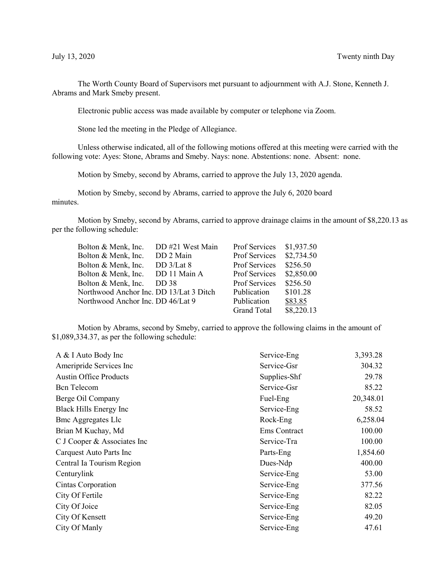The Worth County Board of Supervisors met pursuant to adjournment with A.J. Stone, Kenneth J. Abrams and Mark Smeby present.

Electronic public access was made available by computer or telephone via Zoom.

Stone led the meeting in the Pledge of Allegiance.

Unless otherwise indicated, all of the following motions offered at this meeting were carried with the following vote: Ayes: Stone, Abrams and Smeby. Nays: none. Abstentions: none. Absent: none.

Motion by Smeby, second by Abrams, carried to approve the July 13, 2020 agenda.

Motion by Smeby, second by Abrams, carried to approve the July 6, 2020 board minutes.

Motion by Smeby, second by Abrams, carried to approve drainage claims in the amount of \$8,220.13 as per the following schedule:

| Bolton & Menk, Inc.                     | DD #21 West Main | Prof Services        | \$1,937.50 |
|-----------------------------------------|------------------|----------------------|------------|
| Bolton & Menk, Inc.                     | DD 2 Main        | Prof Services        | \$2,734.50 |
| Bolton & Menk, Inc.                     | DD $3/Lat 8$     | Prof Services        | \$256.50   |
| Bolton & Menk, Inc.                     | DD 11 Main A     | <b>Prof Services</b> | \$2,850.00 |
| Bolton & Menk, Inc.                     | DD 38            | Prof Services        | \$256.50   |
| Northwood Anchor Inc. DD 13/Lat 3 Ditch |                  | Publication          | \$101.28   |
| Northwood Anchor Inc. DD 46/Lat 9       |                  | Publication          | \$83.85    |
|                                         |                  | <b>Grand Total</b>   | \$8,220.13 |

Motion by Abrams, second by Smeby, carried to approve the following claims in the amount of \$1,089,334.37, as per the following schedule:

| A & I Auto Body Inc           | Service-Eng  | 3,393.28  |
|-------------------------------|--------------|-----------|
| Ameripride Services Inc       | Service-Gsr  | 304.32    |
| <b>Austin Office Products</b> | Supplies-Shf | 29.78     |
| <b>Bcn</b> Telecom            | Service-Gsr  | 85.22     |
| Berge Oil Company             | Fuel-Eng     | 20,348.01 |
| Black Hills Energy Inc        | Service-Eng  | 58.52     |
| <b>Bmc Aggregates Llc</b>     | Rock-Eng     | 6,258.04  |
| Brian M Kuchay, Md            | Ems Contract | 100.00    |
| C J Cooper & Associates Inc   | Service-Tra  | 100.00    |
| Carquest Auto Parts Inc       | Parts-Eng    | 1,854.60  |
| Central Ia Tourism Region     | Dues-Ndp     | 400.00    |
| Centurylink                   | Service-Eng  | 53.00     |
| Cintas Corporation            | Service-Eng  | 377.56    |
| City Of Fertile               | Service-Eng  | 82.22     |
| City Of Joice                 | Service-Eng  | 82.05     |
| City Of Kensett               | Service-Eng  | 49.20     |
| City Of Manly                 | Service-Eng  | 47.61     |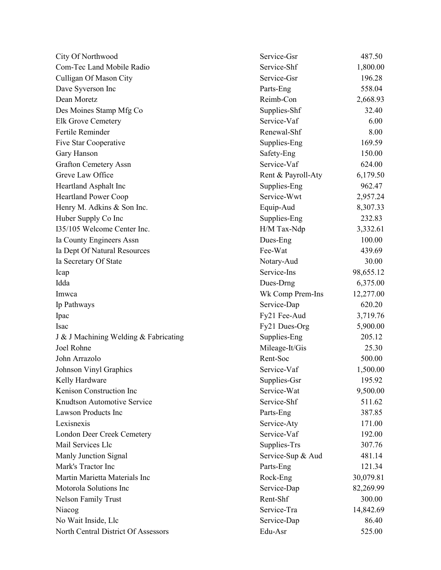| City Of Northwood                     | Service-Gsr        | 487.50    |
|---------------------------------------|--------------------|-----------|
| Com-Tec Land Mobile Radio             | Service-Shf        | 1,800.00  |
| Culligan Of Mason City                | Service-Gsr        | 196.28    |
| Dave Syverson Inc                     | Parts-Eng          | 558.04    |
| Dean Moretz                           | Reimb-Con          | 2,668.93  |
| Des Moines Stamp Mfg Co               | Supplies-Shf       | 32.40     |
| Elk Grove Cemetery                    | Service-Vaf        | 6.00      |
| Fertile Reminder                      | Renewal-Shf        | 8.00      |
| Five Star Cooperative                 | Supplies-Eng       | 169.59    |
| Gary Hanson                           | Safety-Eng         | 150.00    |
| <b>Grafton Cemetery Assn</b>          | Service-Vaf        | 624.00    |
| Greve Law Office                      | Rent & Payroll-Aty | 6,179.50  |
| Heartland Asphalt Inc                 | Supplies-Eng       | 962.47    |
| <b>Heartland Power Coop</b>           | Service-Wwt        | 2,957.24  |
| Henry M. Adkins & Son Inc.            | Equip-Aud          | 8,307.33  |
| Huber Supply Co Inc                   | Supplies-Eng       | 232.83    |
| I35/105 Welcome Center Inc.           | H/M Tax-Ndp        | 3,332.61  |
| Ia County Engineers Assn              | Dues-Eng           | 100.00    |
| Ia Dept Of Natural Resources          | Fee-Wat            | 439.69    |
| Ia Secretary Of State                 | Notary-Aud         | 30.00     |
| Icap                                  | Service-Ins        | 98,655.12 |
| Idda                                  | Dues-Drng          | 6,375.00  |
| Imwca                                 | Wk Comp Prem-Ins   | 12,277.00 |
| Ip Pathways                           | Service-Dap        | 620.20    |
| Ipac                                  | Fy21 Fee-Aud       | 3,719.76  |
| Isac                                  | Fy21 Dues-Org      | 5,900.00  |
| J & J Machining Welding & Fabricating | Supplies-Eng       | 205.12    |
| Joel Rohne                            | Mileage-It/Gis     | 25.30     |
| John Arrazolo                         | Rent-Soc           | 500.00    |
| Johnson Vinyl Graphics                | Service-Vaf        | 1,500.00  |
| Kelly Hardware                        | Supplies-Gsr       | 195.92    |
| Kenison Construction Inc              | Service-Wat        | 9,500.00  |
| Knudtson Automotive Service           | Service-Shf        | 511.62    |
| <b>Lawson Products Inc</b>            | Parts-Eng          | 387.85    |
| Lexisnexis                            | Service-Aty        | 171.00    |
| London Deer Creek Cemetery            | Service-Vaf        | 192.00    |
| Mail Services Llc                     | Supplies-Trs       | 307.76    |
| Manly Junction Signal                 | Service-Sup & Aud  | 481.14    |
| Mark's Tractor Inc                    | Parts-Eng          | 121.34    |
| Martin Marietta Materials Inc         | Rock-Eng           | 30,079.81 |
| Motorola Solutions Inc                | Service-Dap        | 82,269.99 |
| <b>Nelson Family Trust</b>            | Rent-Shf           | 300.00    |
| Niacog                                | Service-Tra        | 14,842.69 |
| No Wait Inside, Llc                   | Service-Dap        | 86.40     |
| North Central District Of Assessors   | Edu-Asr            | 525.00    |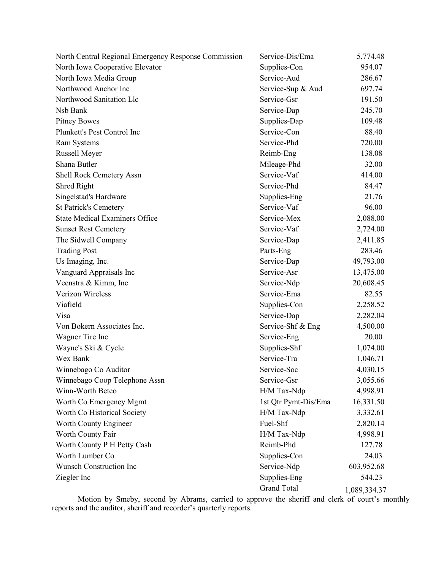| North Central Regional Emergency Response Commission | Service-Dis/Ema      | 5,774.48     |
|------------------------------------------------------|----------------------|--------------|
| North Iowa Cooperative Elevator                      | Supplies-Con         | 954.07       |
| North Iowa Media Group                               | Service-Aud          | 286.67       |
| Northwood Anchor Inc                                 | Service-Sup & Aud    | 697.74       |
| Northwood Sanitation Llc                             | Service-Gsr          | 191.50       |
| Nsb Bank                                             | Service-Dap          | 245.70       |
| <b>Pitney Bowes</b>                                  | Supplies-Dap         | 109.48       |
| Plunkett's Pest Control Inc                          | Service-Con          | 88.40        |
| Ram Systems                                          | Service-Phd          | 720.00       |
| Russell Meyer                                        | Reimb-Eng            | 138.08       |
| Shana Butler                                         | Mileage-Phd          | 32.00        |
| Shell Rock Cemetery Assn                             | Service-Vaf          | 414.00       |
| Shred Right                                          | Service-Phd          | 84.47        |
| Singelstad's Hardware                                | Supplies-Eng         | 21.76        |
| <b>St Patrick's Cemetery</b>                         | Service-Vaf          | 96.00        |
| <b>State Medical Examiners Office</b>                | Service-Mex          | 2,088.00     |
| <b>Sunset Rest Cemetery</b>                          | Service-Vaf          | 2,724.00     |
| The Sidwell Company                                  | Service-Dap          | 2,411.85     |
| <b>Trading Post</b>                                  | Parts-Eng            | 283.46       |
| Us Imaging, Inc.                                     | Service-Dap          | 49,793.00    |
| Vanguard Appraisals Inc                              | Service-Asr          | 13,475.00    |
| Veenstra & Kimm, Inc                                 | Service-Ndp          | 20,608.45    |
| Verizon Wireless                                     | Service-Ema          | 82.55        |
| Viafield                                             | Supplies-Con         | 2,258.52     |
| Visa                                                 | Service-Dap          | 2,282.04     |
| Von Bokern Associates Inc.                           | Service-Shf & Eng    | 4,500.00     |
| Wagner Tire Inc                                      | Service-Eng          | 20.00        |
| Wayne's Ski & Cycle                                  | Supplies-Shf         | 1,074.00     |
| Wex Bank                                             | Service-Tra          | 1,046.71     |
| Winnebago Co Auditor                                 | Service-Soc          | 4,030.15     |
| Winnebago Coop Telephone Assn                        | Service-Gsr          | 3,055.66     |
| Winn-Worth Betco                                     | H/M Tax-Ndp          | 4,998.91     |
| Worth Co Emergency Mgmt                              | 1st Qtr Pymt-Dis/Ema | 16,331.50    |
| Worth Co Historical Society                          | H/M Tax-Ndp          | 3,332.61     |
| Worth County Engineer                                | Fuel-Shf             | 2,820.14     |
| Worth County Fair                                    | H/M Tax-Ndp          | 4,998.91     |
| Worth County P H Petty Cash                          | Reimb-Phd            | 127.78       |
| Worth Lumber Co                                      | Supplies-Con         | 24.03        |
| Wunsch Construction Inc                              | Service-Ndp          | 603,952.68   |
| Ziegler Inc                                          | Supplies-Eng         | 544.23       |
|                                                      | <b>Grand Total</b>   | 1,089,334.37 |

Motion by Smeby, second by Abrams, carried to approve the sheriff and clerk of court's monthly reports and the auditor, sheriff and recorder's quarterly reports.